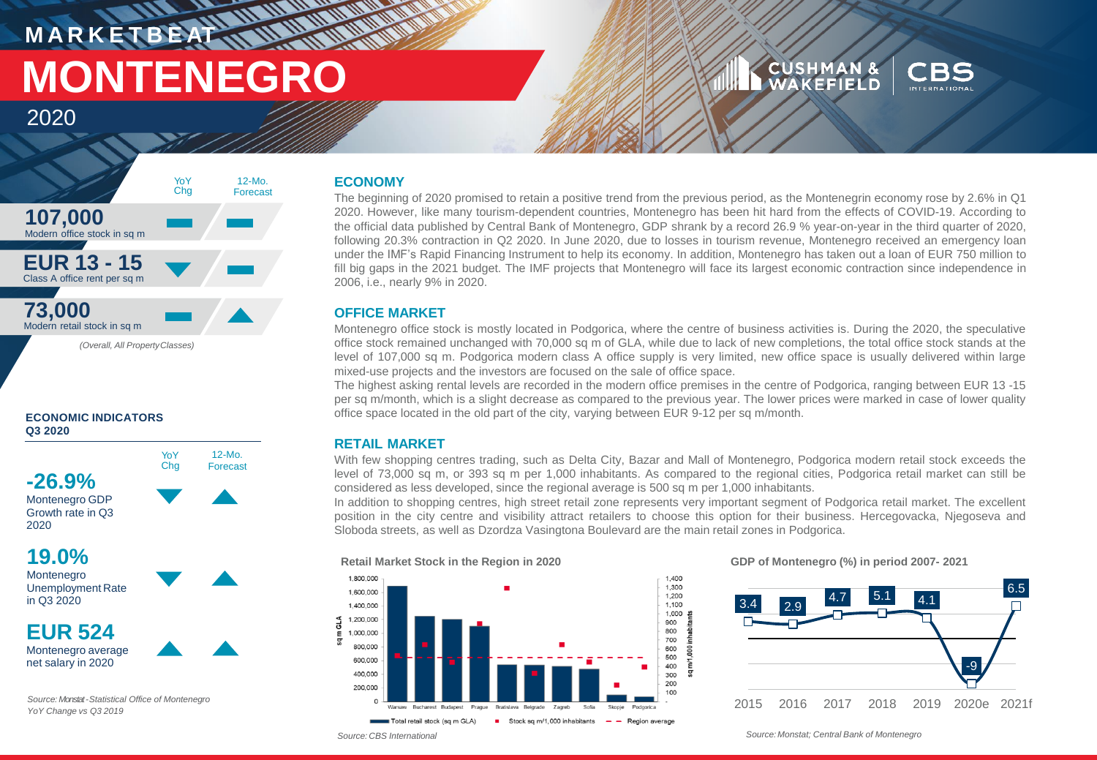# **MARKETBEATING MONTHS MONTENEGRO**

### **CUSHMAN &**<br>WAKEFIELD



### 2020



#### **ECONOMIC INDICATORS Q3 2020**



12-Mo. Forecast

**-26.9%** Montenegro GDP Growth rate in Q3 2020

**19.0%**

Montenegro Unemployment Rate in Q3 2020

**EUR 524** Montenegro average net salary in 2020

*Source: Monstat-Statistical Office of Montenegro YoY Change vs Q3 2019*

#### **ECONOMY**

The beginning of 2020 promised to retain a positive trend from the previous period, as the Montenegrin economy rose by 2.6% in Q1 2020. However, like many tourism-dependent countries, Montenegro has been hit hard from the effects of COVID-19. According to the official data published by Central Bank of Montenegro, GDP shrank by a record 26.9 % year-on-year in the third quarter of 2020, following 20.3% contraction in Q2 2020. In June 2020, due to losses in tourism revenue, Montenegro received an emergency loan under the IMF's Rapid Financing Instrument to help its economy. In addition, Montenegro has taken out a loan of EUR 750 million to fill big gaps in the 2021 budget. The IMF projects that Montenegro will face its largest economic contraction since independence in 2006, i.e., nearly 9% in 2020.

#### **OFFICE MARKET**

Montenegro office stock is mostly located in Podgorica, where the centre of business activities is. During the 2020, the speculative office stock remained unchanged with 70,000 sq m of GLA, while due to lack of new completions, the total office stock stands at the level of 107,000 sq m. Podgorica modern class A office supply is very limited, new office space is usually delivered within large mixed-use projects and the investors are focused on the sale of office space.

The highest asking rental levels are recorded in the modern office premises in the centre of Podgorica, ranging between EUR 13 -15 per sq m/month, which is a slight decrease as compared to the previous year. The lower prices were marked in case of lower quality office space located in the old part of the city, varying between EUR 9-12 per sq m/month.

#### **RETAIL MARKET**

With few shopping centres trading, such as Delta City, Bazar and Mall of Montenegro, Podgorica modern retail stock exceeds the level of 73,000 sq m, or 393 sq m per 1,000 inhabitants. As compared to the regional cities, Podgorica retail market can still be considered as less developed, since the regional average is 500 sq m per 1,000 inhabitants.

In addition to shopping centres, high street retail zone represents very important segment of Podgorica retail market. The excellent position in the city centre and visibility attract retailers to choose this option for their business. Hercegovacka, Njegoseva and Sloboda streets, as well as Dzordza Vasingtona Boulevard are the main retail zones in Podgorica.

> 1,400 1.300

> 1,200 1,100

1,000

m/1,000 inhabitar 800

ă 300  $200$ 

900

700

600 500

400

100



#### **GDP of Montenegro (%) in period 2007- 2021**



*Source: CBS International Source: Monstat; Central Bank of Montenegro*